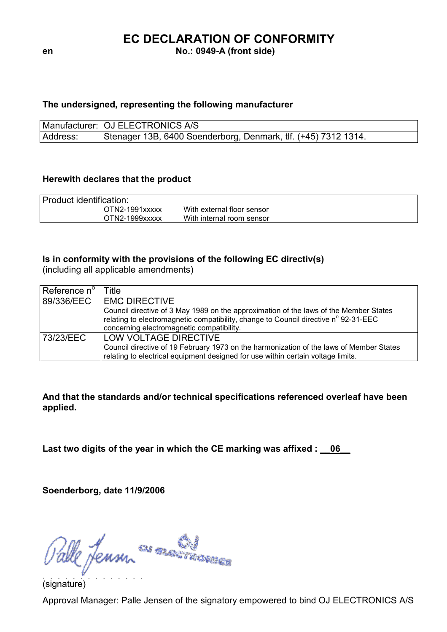# EC DECLARATION OF CONFORMITY

en No.: 0949-A (front side)

### The undersigned, representing the following manufacturer

Manufacturer: OJ ELECTRONICS A/S Address: Stenager 13B, 6400 Soenderborg, Denmark, tlf. (+45) 7312 1314.

### Herewith declares that the product

| Product identification: |                            |  |  |
|-------------------------|----------------------------|--|--|
| OTN2-1991xxxxx          | With external floor sensor |  |  |
| OTN2-1999xxxxx          | With internal room sensor  |  |  |

### Is in conformity with the provisions of the following EC directiv(s)

(including all applicable amendments)

| Reference n $^{\circ}$ | Title                                                                                                                                                                                                                     |  |
|------------------------|---------------------------------------------------------------------------------------------------------------------------------------------------------------------------------------------------------------------------|--|
| 89/336/EEC             | <b>EMC DIRECTIVE</b>                                                                                                                                                                                                      |  |
|                        | Council directive of 3 May 1989 on the approximation of the laws of the Member States<br>relating to electromagnetic compatibility, change to Council directive n° 92-31-EEC<br>concerning electromagnetic compatibility. |  |
| 73/23/EEC              | LOW VOLTAGE DIRECTIVE<br>Council directive of 19 February 1973 on the harmonization of the laws of Member States<br>relating to electrical equipment designed for use within certain voltage limits.                      |  |

And that the standards and/or technical specifications referenced overleaf have been applied.

Last two digits of the year in which the CE marking was affixed :  $\sqrt{0.06}$ 

Soenderborg, date 11/9/2006

Palle Jensur<sup>cas manamence</sup>

(signature)

Approval Manager: Palle Jensen of the signatory empowered to bind OJ ELECTRONICS A/S